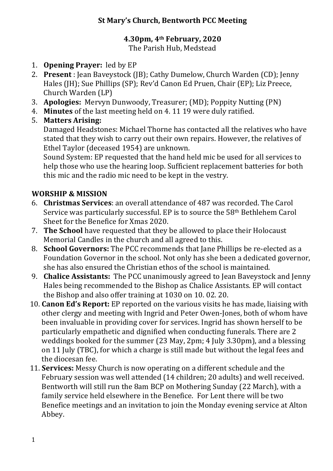### **St Mary's Church, Bentworth PCC Meeting**

#### **4.30pm, 4th February, 2020**

The Parish Hub, Medstead

- 1. **Opening Prayer:** led by EP
- 2. Present : Jean Baveystock (JB); Cathy Dumelow, Church Warden (CD); Jenny Hales (JH); Sue Phillips (SP); Rev'd Canon Ed Pruen, Chair (EP); Liz Preece, Church Warden (LP)
- 3. **Apologies:** Mervyn Dunwoody, Treasurer: (MD): Poppity Nutting (PN)
- 4. **Minutes** of the last meeting held on 4. 11 19 were duly ratified.
- 5. **Matters Arising:**

Damaged Headstones: Michael Thorne has contacted all the relatives who have stated that they wish to carry out their own repairs. However, the relatives of Ethel Taylor (deceased 1954) are unknown.

Sound System: EP requested that the hand held mic be used for all services to help those who use the hearing loop. Sufficient replacement batteries for both this mic and the radio mic need to be kept in the vestry.

## **WORSHIP & MISSION**

- 6. **Christmas Services**: an overall attendance of 487 was recorded. The Carol Service was particularly successful. EP is to source the  $58<sup>th</sup>$  Bethlehem Carol Sheet for the Benefice for Xmas 2020.
- 7. **The School** have requested that they be allowed to place their Holocaust Memorial Candles in the church and all agreed to this.
- 8. **School Governors:** The PCC recommends that Jane Phillips be re-elected as a Foundation Governor in the school. Not only has she been a dedicated governor, she has also ensured the Christian ethos of the school is maintained.
- 9. **Chalice Assistants:** The PCC unanimously agreed to Jean Baveystock and Jenny Hales being recommended to the Bishop as Chalice Assistants. EP will contact the Bishop and also offer training at 1030 on 10.02. 20.
- 10. **Canon Ed's Report:** EP reported on the various visits he has made, liaising with other clergy and meeting with Ingrid and Peter Owen-Jones, both of whom have been invaluable in providing cover for services. Ingrid has shown herself to be particularly empathetic and dignified when conducting funerals. There are 2 weddings booked for the summer  $(23$  May,  $2pm$ ; 4 July 3.30pm), and a blessing on 11 July (TBC), for which a charge is still made but without the legal fees and the diocesan fee.
- 11. **Services:** Messy Church is now operating on a different schedule and the February session was well attended (14 children; 20 adults) and well received. Bentworth will still run the 8am BCP on Mothering Sunday (22 March), with a family service held elsewhere in the Benefice. For Lent there will be two Benefice meetings and an invitation to join the Monday evening service at Alton Abbey.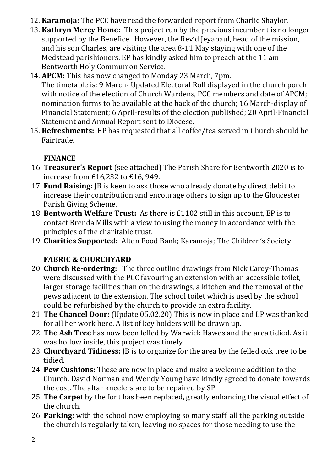- 12. **Karamoja:** The PCC have read the forwarded report from Charlie Shaylor.
- 13. **Kathryn Mercy Home:** This project run by the previous incumbent is no longer supported by the Benefice. However, the Rev'd Jeyapaul, head of the mission, and his son Charles, are visiting the area  $8-11$  May staying with one of the Medstead parishioners. EP has kindly asked him to preach at the 11 am Bentworth Holy Communion Service.
- 14. **APCM:** This has now changed to Monday 23 March, 7pm.

The timetable is: 9 March- Updated Electoral Roll displayed in the church porch with notice of the election of Church Wardens, PCC members and date of APCM; nomination forms to be available at the back of the church: 16 March-display of Financial Statement; 6 April-results of the election published; 20 April-Financial Statement and Annual Report sent to Diocese.

15. **Refreshments:** EP has requested that all coffee/tea served in Church should be Fairtrade.

# **FINANCE**

- 16. **Treasurer's Report** (see attached) The Parish Share for Bentworth 2020 is to increase from  $£16,232$  to  $£16,949$ .
- 17. **Fund Raising:** IB is keen to ask those who already donate by direct debit to increase their contribution and encourage others to sign up to the Gloucester Parish Giving Scheme.
- 18. **Bentworth Welfare Trust:** As there is £1102 still in this account, EP is to contact Brenda Mills with a view to using the money in accordance with the principles of the charitable trust.
- 19. **Charities Supported:** Alton Food Bank; Karamoja; The Children's Society

# **FABRIC & CHURCHYARD**

- 20. **Church Re-ordering:** The three outline drawings from Nick Carey-Thomas were discussed with the PCC favouring an extension with an accessible toilet, larger storage facilities than on the drawings, a kitchen and the removal of the pews adjacent to the extension. The school toilet which is used by the school could be refurbished by the church to provide an extra facility.
- 21. **The Chancel Door:** (Update 05.02.20) This is now in place and LP was thanked for all her work here. A list of key holders will be drawn up.
- 22. The Ash Tree has now been felled by Warwick Hawes and the area tidied. As it was hollow inside, this project was timely.
- 23. **Churchyard Tidiness:** [B is to organize for the area by the felled oak tree to be tidied.
- 24. **Pew Cushions:** These are now in place and make a welcome addition to the Church. David Norman and Wendy Young have kindly agreed to donate towards the cost. The altar kneelers are to be repaired by SP.
- 25. **The Carpet** by the font has been replaced, greatly enhancing the visual effect of the church.
- 26. Parking: with the school now employing so many staff, all the parking outside the church is regularly taken, leaving no spaces for those needing to use the